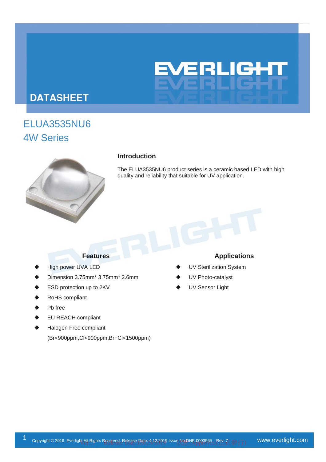

# **DATASHEET**

# ELUA3535NU6 4W Series



## **Introduction**

The ELUA3535NU6 product series is a ceramic based LED with high quality and reliability that suitable for UV application.

- High power UVA LED
- Dimension 3.75mm\* 3.75mm\* 2.6mm
- ESD protection up to 2KV
- RoHS compliant
- Pb free
- EU REACH compliant
- Halogen Free compliant (Br<900ppm,Cl<900ppm,Br+Cl<1500ppm)

## **Features Applications**

- UV Sterilization System
- UV Photo-catalyst
- UV Sensor Light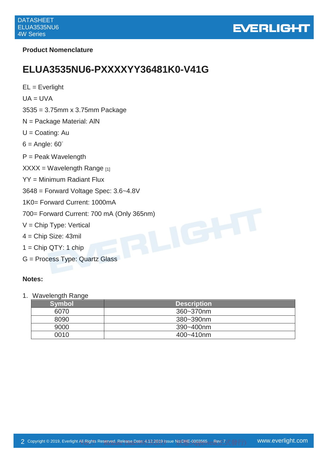

## **Product Nomenclature**

# **ELUA3535NU6-PXXXXYY36481K0-V41G**

| $EL = Everlight$                            |
|---------------------------------------------|
| $UA = UVA$                                  |
| $3535 = 3.75$ mm x 3.75mm Package           |
| $N =$ Package Material: AIN                 |
| $U =$ Coating: Au                           |
| $6 =$ Angle: $60^\circ$                     |
| $P =$ Peak Wavelength                       |
| $XXX = Wavelength Range_{[1]}$              |
| YY = Minimum Radiant Flux                   |
| $3648$ = Forward Voltage Spec: $3.6 - 4.8V$ |
| 1K0= Forward Current: 1000mA                |
| 700= Forward Current: 700 mA (Only 365nm)   |
| $V =$ Chip Type: Vertical                   |
| $4 =$ Chip Size: 43mil                      |
| $1 =$ Chip QTY: 1 chip                      |
| G = Process Type: Quartz Glass              |
|                                             |

## **Notes:**

1. Wavelength Range

| Symbol | <b>Description</b> |
|--------|--------------------|
| 6070   | 360~370nm          |
| 8090   | 380~390nm          |
| 9000   | 390~400nm          |
| 0010   | 400~410nm          |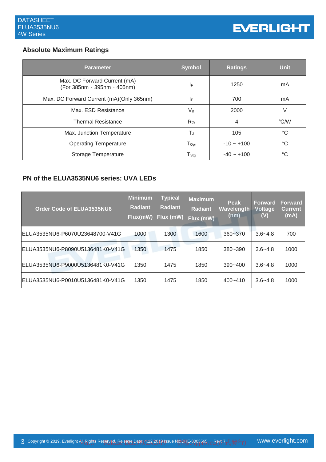# **Absolute Maximum Ratings**

| Parameter                                                   | <b>Symbol</b>    | <b>Ratings</b>     | <b>Unit</b>     |
|-------------------------------------------------------------|------------------|--------------------|-----------------|
| Max. DC Forward Current (mA)<br>(For 385nm · 395nm · 405nm) | IF               | 1250               | mA              |
| Max. DC Forward Current (mA)(Only 365nm)                    | I۴               | 700                | mA              |
| Max. ESD Resistance                                         | $V_{B}$          | 2000               |                 |
| <b>Thermal Resistance</b>                                   | R <sub>th</sub>  | 4                  | °C/W            |
| Max. Junction Temperature                                   | TJ               | 105                | $^{\circ}C$     |
| <b>Operating Temperature</b>                                | $T_{\text{Opt}}$ | $-10 - +100$       | $^{\circ}C$     |
| Storage Temperature                                         | $T_{\text{Stg}}$ | $-40 \approx +100$ | $\rm ^{\circ}C$ |

# **PN of the ELUA3535NU6 series: UVA LEDs**

| Order Code of ELUA3535NU6        | <b>Minimum</b><br><b>Radiant</b><br>Flux(mW) | <b>Typical</b><br><b>Radiant</b><br>Flux (mW) | <b>Maximum</b><br><b>Radiant</b><br>Flux (mW) | Peak<br>Wavelength<br>(nm) | <b>Forward</b><br><b>Voltage</b><br>(V) | <b>Forward</b><br><b>Current</b><br>(mA) |
|----------------------------------|----------------------------------------------|-----------------------------------------------|-----------------------------------------------|----------------------------|-----------------------------------------|------------------------------------------|
| ELUA3535NU6-P6070U23648700-V41G  | 1000                                         | 1300                                          | 1600                                          | $360 - 370$                | $3.6 - 4.8$                             | 700                                      |
| ELUA3535NU6-P8090U5136481K0-V41G | 1350                                         | 1475                                          | 1850                                          | $380 - 390$                | $3.6 - 4.8$                             | 1000                                     |
| ELUA3535NU6-P9000U5136481K0-V41G | 1350                                         | 1475                                          | 1850                                          | $390 - 400$                | $3.6 - 4.8$                             | 1000                                     |
| ELUA3535NU6-P0010U5136481K0-V41G | 1350                                         | 1475                                          | 1850                                          | 400~410                    | $3.6 - 4.8$                             | 1000                                     |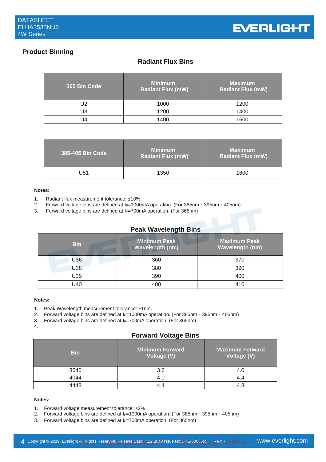

# **Product Binning**

# **Radiant Flux Bins**

| 365 Bin Code | <b>Minimum</b><br><b>Radiant Flux (mW)</b> | <b>Maximum</b><br><b>Radiant Flux (mW)</b> |
|--------------|--------------------------------------------|--------------------------------------------|
| J2           | 1000                                       | 1200                                       |
| JЗ           | 1200                                       | 1400                                       |
| J4           | 1400                                       | 1600                                       |

| 385-405 Bin Code | <b>Minimum</b><br><b>Radiant Flux (mW)</b> | <b>Maximum</b><br><b>Radiant Flux (mW)</b> |
|------------------|--------------------------------------------|--------------------------------------------|
| U51              | 1350                                       | 1600                                       |

## **Notes:**

- 1. Radiant flux measurement tolerance: ±10%.
- 2. Forward voltage bins are defined at I*F*=1000mA operation. (For 385nm、395nm、405nm)
- 3. Forward voltage bins are defined at I<sub>F</sub>=700mA operation. (For 365nm)

## **Peak Wavelength Bins**

| <b>Bin</b> | <b>Minimum Peak</b><br><b>Wavelength (nm)</b> | Maximum Peak<br><b>Wavelength (nm)</b> |
|------------|-----------------------------------------------|----------------------------------------|
| U36        | 360                                           | 370                                    |
| <b>U38</b> | 380                                           | 390                                    |
| U39        | 390                                           | 400                                    |
| U40        | 400                                           | 410                                    |

### **Notes:**

- 1. Peak Wavelength measurement tolerance: ±1nm.
- 2. Forward voltage bins are defined at I*F*=1000mA operation. (For 385nm、395nm、405nm)
- 3. Forward voltage bins are defined at I<sub>F</sub>=700mA operation. (For 365nm)
- 4.

## **Forward Voltage Bins**

| <b>Bin</b> | <b>Minimum Forward</b><br>Voltage (V) | <b>Maximum Forward</b><br>Voltage (V) |
|------------|---------------------------------------|---------------------------------------|
| 3640       | 3.6                                   |                                       |
| 4044       |                                       |                                       |
|            |                                       | 4.8                                   |

## **Notes:**

- 1. Forward voltage measurement tolerance: ±2%.
- 2. Forward voltage bins are defined at I*F*=1000mA operation. (For 385nm、395nm、405nm)
- 3. Forward voltage bins are defined at I*F*=700mA operation. (For 365nm)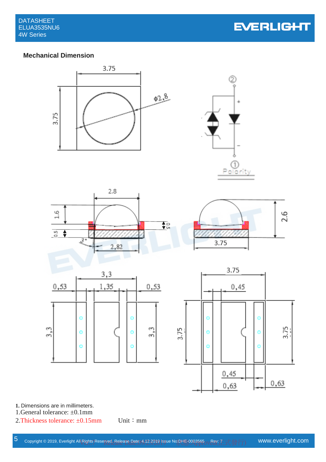# **Mechanical Dimension**



**1.** Dimensions are in millimeters.

1.General tolerance: ±0.1mm

2. Thickness tolerance:  $\pm 0.15$ mm Unit: mm

0,63

 $0,63$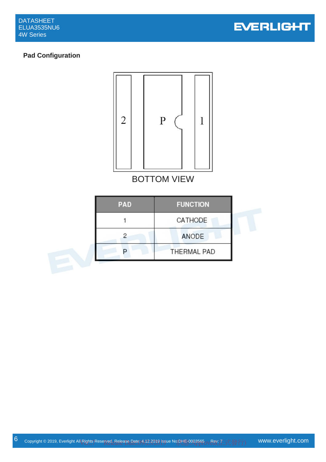

# **Pad Configuration**



BOTTOM VIEW

| <b>PAD</b> | <b>FUNCTION</b>    |  |
|------------|--------------------|--|
|            | CATHODE            |  |
|            | ANODE              |  |
|            | <b>THERMAL PAD</b> |  |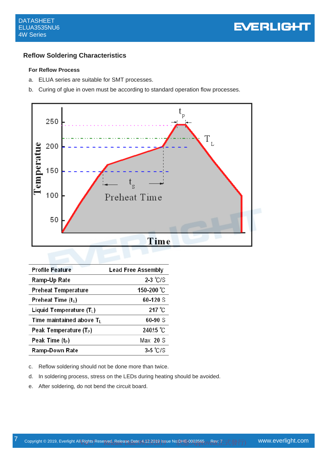## **Reflow Soldering Characteristics**

## **For Reflow Process**

- a. ELUA series are suitable for SMT processes.
- b. Curing of glue in oven must be according to standard operation flow processes.



| <b>Profile Feature</b>             | <b>Lead Free Assembly</b> |
|------------------------------------|---------------------------|
| Ramp-Up Rate                       | $2-3$ °C/S                |
| <b>Preheat Temperature</b>         | 150-200 °C                |
| Preheat Time $(tS)$                | 60-120 S                  |
| Liquid Temperature $(T_L)$         | $217^{\circ}$ C           |
| Time maintained above $T_L$        | $60 - 90S$                |
| Peak Temperature (T <sub>P</sub> ) | 240 <sup>±5</sup> °C      |
| Peak Time $(t_P)$                  | Max 20 S                  |
| <b>Ramp-Down Rate</b>              | $3-5$ °C/S                |

- c. Reflow soldering should not be done more than twice.
- d. In soldering process, stress on the LEDs during heating should be avoided.
- e. After soldering, do not bend the circuit board.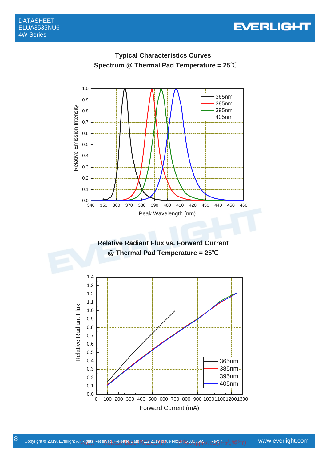

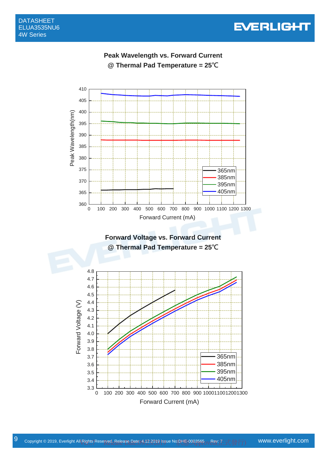

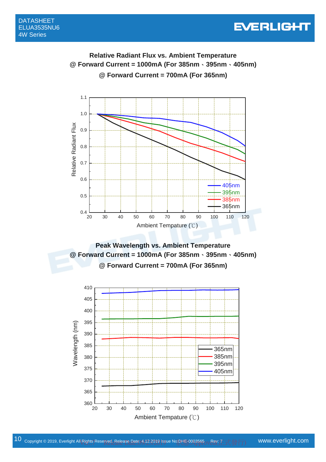# **Relative Radiant Flux vs. Ambient Temperature @ Forward Current = 1000mA (For 385nm**、**395nm**、**405nm) @ Forward Current = 700mA (For 365nm)**

1.1 1.0 Relative Radiant Flux Relative Radiant Flux 0.9 0.8 0.7 0.6 405nm 395nm 0.5 385nm 365nm  $0.4 \perp 20$ 20 30 40 50 60 70 80 90 100 110 120 Ambient Tempature (℃)

**Peak Wavelength vs. Ambient Temperature @ Forward Current = 1000mA (For 385nm**、**395nm**、**405nm) @ Forward Current = 700mA (For 365nm)** 

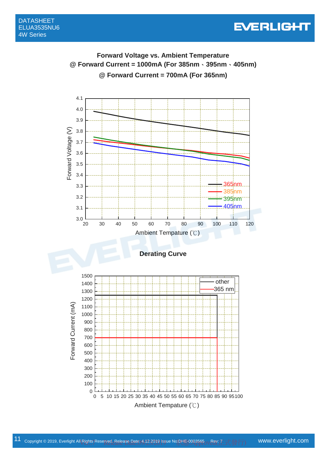

# **Forward Voltage vs. Ambient Temperature @ Forward Current = 1000mA (For 385nm**、**395nm**、**405nm) @ Forward Current = 700mA (For 365nm)**

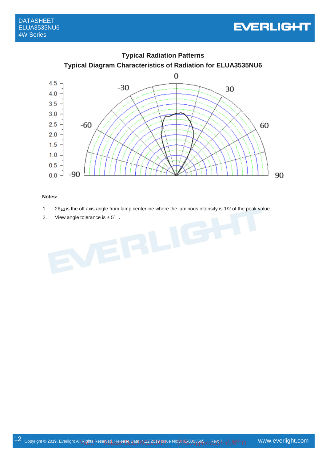



## **Notes:**

- 1. 2θ1/2 is the off axis angle from lamp centerline where the luminous intensity is 1/2 of the peak value.
- 2. View angle tolerance is  $\pm 5^\circ$ .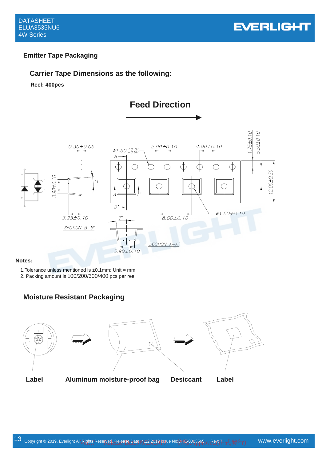

# **Emitter Tape Packaging**

# **Carrier Tape Dimensions as the following:**

**Reel: 400pcs**



## **Notes:**

1. Tolerance unless mentioned is  $\pm 0.1$ mm; Unit = mm

2. Packing amount is 100/200/300/400 pcs per reel

# **Moisture Resistant Packaging**

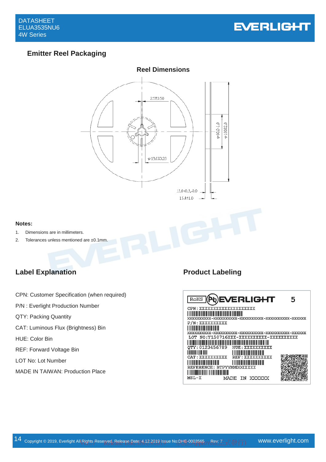

# **Emitter Reel Packaging**



### **Notes:**

- 1. Dimensions are in millimeters.
- 2. Tolerances unless mentioned are ±0.1mm.

# Label Explanation **Product Labeling**

- CPN: Customer Specification (when required)
- P/N : Everlight Production Number
- QTY: Packing Quantity
- CAT: Luminous Flux (Brightness) Bin
- HUE: Color Bin
- REF: Forward Voltage Bin
- LOT No: Lot Number
- MADE IN TAIWAN: Production Place